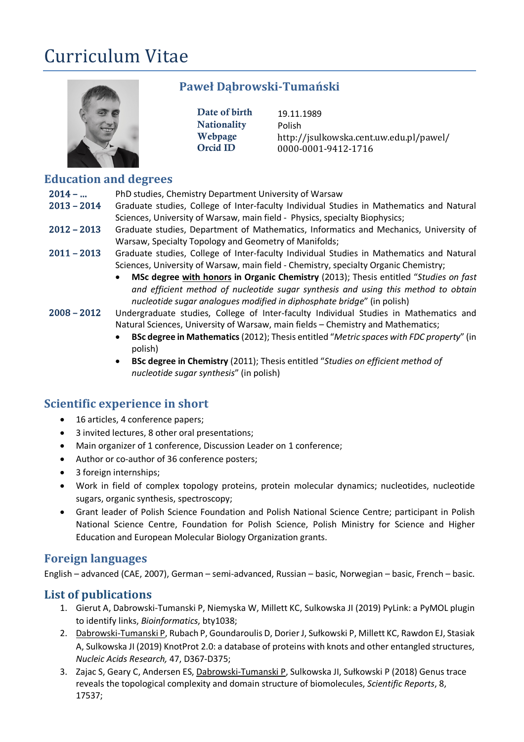# Curriculum Vitae



## **Paweł Dąbrowski-Tumański**

Date of birth 19.11.1989 Nationality Polish

Webpage http://jsulkowska.cent.uw.edu.pl/pawel/ Orcid ID 0000-0001-9412-1716

# **Education and degrees**

- 2014 ... PhD studies, Chemistry Department University of Warsaw
- 2013 2014 Graduate studies, College of Inter-faculty Individual Studies in Mathematics and Natural Sciences, University of Warsaw, main field - Physics, specialty Biophysics;
- 2012 2013 Graduate studies, Department of Mathematics, Informatics and Mechanics, University of Warsaw, Specialty Topology and Geometry of Manifolds;
- 2011 2013 Graduate studies, College of Inter-faculty Individual Studies in Mathematics and Natural Sciences, University of Warsaw, main field - Chemistry, specialty Organic Chemistry;
	- **MSc degree with honors in Organic Chemistry** (2013); Thesis entitled "*Studies on fast and efficient method of nucleotide sugar synthesis and using this method to obtain nucleotide sugar analogues modified in diphosphate bridge*" (in polish)
- 2008 2012 Undergraduate studies, College of Inter-faculty Individual Studies in Mathematics and Natural Sciences, University of Warsaw, main fields – Chemistry and Mathematics;
	- **BSc degree in Mathematics** (2012); Thesis entitled "*Metric spaces with FDC property*" (in polish)
	- **BSc degree in Chemistry** (2011); Thesis entitled "*Studies on efficient method of nucleotide sugar synthesis*" (in polish)

## **Scientific experience in short**

- 16 articles, 4 conference papers;
- 3 invited lectures, 8 other oral presentations;
- Main organizer of 1 conference, Discussion Leader on 1 conference;
- Author or co-author of 36 conference posters;
- 3 foreign internships;
- Work in field of complex topology proteins, protein molecular dynamics; nucleotides, nucleotide sugars, organic synthesis, spectroscopy;
- Grant leader of Polish Science Foundation and Polish National Science Centre; participant in Polish National Science Centre, Foundation for Polish Science, Polish Ministry for Science and Higher Education and European Molecular Biology Organization grants.

## **Foreign languages**

English – advanced (CAE, 2007), German – semi-advanced, Russian – basic, Norwegian – basic, French – basic.

## List of publications

- 1. Gierut A, Dabrowski-Tumanski P, Niemyska W, Millett KC, Sulkowska JI (2019) PyLink: a PyMOL plugin to identify links, *Bioinformatics*, bty1038;
- 2. Dabrowski-Tumanski P, Rubach P, Goundaroulis D, Dorier J, Sułkowski P, Millett KC, Rawdon EJ, Stasiak A, Sulkowska JI (2019) KnotProt 2.0: a database of proteins with knots and other entangled structures, *Nucleic Acids Research,* 47, D367-D375;
- 3. Zajac S, Geary C, Andersen ES, Dabrowski-Tumanski P, Sulkowska JI, Sułkowski P (2018) Genus trace reveals the topological complexity and domain structure of biomolecules, *Scientific Reports*, 8, 17537;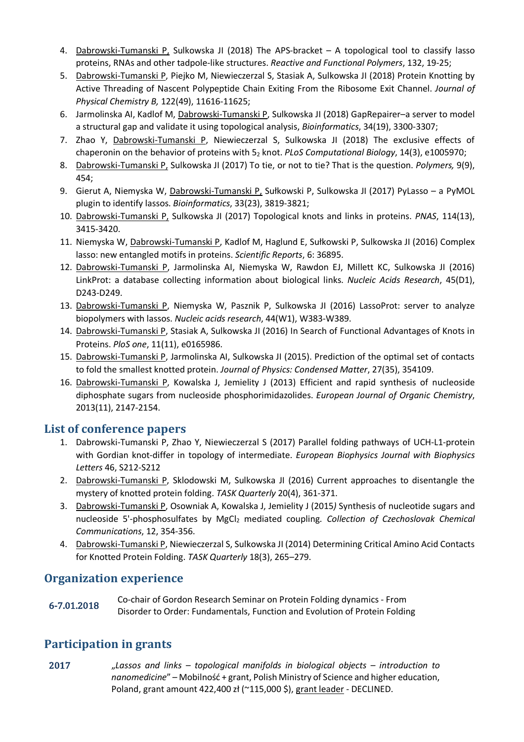- 4. Dabrowski-Tumanski P, Sulkowska JI (2018) The APS-bracket A topological tool to classify lasso proteins, RNAs and other tadpole-like structures. *Reactive and Functional Polymers*, 132, 19-25;
- 5. Dabrowski-Tumanski P, Piejko M, Niewieczerzal S, Stasiak A, Sulkowska JI (2018) Protein Knotting by Active Threading of Nascent Polypeptide Chain Exiting From the Ribosome Exit Channel. *Journal of Physical Chemistry B,* 122(49), 11616-11625;
- 6. Jarmolinska AI, Kadlof M, Dabrowski-Tumanski P, Sulkowska JI (2018) GapRepairer–a server to model a structural gap and validate it using topological analysis, *Bioinformatics*, 34(19), 3300-3307;
- 7. Zhao Y, Dabrowski-Tumanski P, Niewieczerzal S, Sulkowska JI (2018) The exclusive effects of chaperonin on the behavior of proteins with 52 knot. *PLoS Computational Biology*, 14(3), e1005970;
- 8. Dabrowski-Tumanski P, Sulkowska JI (2017) To tie, or not to tie? That is the question. *Polymers,* 9(9), 454;
- 9. Gierut A, Niemyska W, Dabrowski-Tumanski P, Sułkowski P, Sulkowska JI (2017) PyLasso a PyMOL plugin to identify lassos. *Bioinformatics*, 33(23), 3819-3821;
- 10. Dabrowski-Tumanski P, Sulkowska JI (2017) Topological knots and links in proteins. *PNAS*, 114(13), 3415-3420.
- 11. Niemyska W, Dabrowski-Tumanski P, Kadlof M, Haglund E, Sułkowski P, Sulkowska JI (2016) Complex lasso: new entangled motifs in proteins. *Scientific Reports*, 6: 36895.
- 12. Dabrowski-Tumanski P, Jarmolinska AI, Niemyska W, Rawdon EJ, Millett KC, Sulkowska JI (2016) LinkProt: a database collecting information about biological links. *Nucleic Acids Research*, 45(D1), D243-D249.
- 13. Dabrowski-Tumanski P, Niemyska W, Pasznik P, Sulkowska JI (2016) LassoProt: server to analyze biopolymers with lassos. *Nucleic acids research*, 44(W1), W383-W389.
- 14. Dabrowski-Tumanski P, Stasiak A, Sulkowska JI (2016) In Search of Functional Advantages of Knots in Proteins. *PloS one*, 11(11), e0165986.
- 15. Dabrowski-Tumanski P, Jarmolinska AI, Sulkowska JI (2015). Prediction of the optimal set of contacts to fold the smallest knotted protein. *Journal of Physics: Condensed Matter*, 27(35), 354109.
- 16. Dabrowski-Tumanski P, Kowalska J, Jemielity J (2013) Efficient and rapid synthesis of nucleoside diphosphate sugars from nucleoside phosphorimidazolides. *European Journal of Organic Chemistry*, 2013(11), 2147-2154.

#### List of conference papers

- 1. Dabrowski-Tumanski P, Zhao Y, Niewieczerzal S (2017) Parallel folding pathways of UCH-L1-protein with Gordian knot-differ in topology of intermediate. *European Biophysics Journal with Biophysics Letters* 46, S212-S212
- 2. Dabrowski-Tumanski P, Sklodowski M, Sulkowska JI (2016) Current approaches to disentangle the mystery of knotted protein folding. *TASK Quarterly* 20(4), 361-371.
- 3. Dabrowski-Tumanski P, Osowniak A, Kowalska J, Jemielity J (2015*)* Synthesis of nucleotide sugars and nucleoside 5'-phosphosulfates by MgCl2 mediated coupling*. Collection of Czechoslovak Chemical Communications*, 12, 354-356.
- 4. Dabrowski-Tumanski P, Niewieczerzal S, Sulkowska JI (2014) Determining Critical Amino Acid Contacts for Knotted Protein Folding. *TASK Quarterly* 18(3), 265–279.

#### **Organization experience**

6-7.01.2018 Co-chair of Gordon Research Seminar on Protein Folding dynamics - From Disorder to Order: Fundamentals, Function and Evolution of Protein Folding

## **Participation in grants**

2017 "*Lassos and links – topological manifolds in biological objects – introduction to nanomedicine*" – Mobilność + grant, Polish Ministry of Science and higher education, Poland, grant amount 422,400 zł (~115,000 \$), grant leader - DECLINED.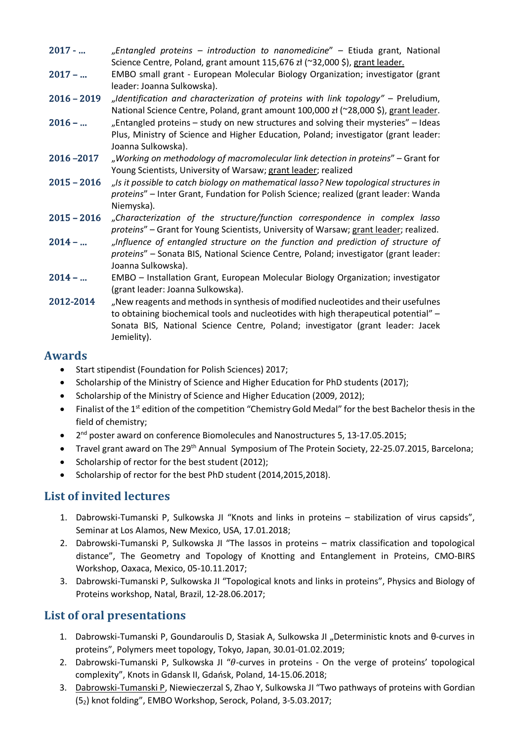- 2017 - … "*Entangled proteins – introduction to nanomedicine*" Etiuda grant, National Science Centre, Poland, grant amount 115,676 zł (~32,000 \$), grant leader.
- 2017 ... EMBO small grant European Molecular Biology Organization; investigator (grant leader: Joanna Sulkowska).
- 2016 – 2019 "*Identification and characterization of proteins with link topology"*  Preludium, National Science Centre, Poland, grant amount 100,000 zł (~28,000 \$), grant leader.
- $2016 ...$  Entangled proteins study on new structures and solving their mysteries" Ideas Plus, Ministry of Science and Higher Education, Poland; investigator (grant leader: Joanna Sulkowska).
- 2016 –2017 "*Working on methodology of macromolecular link detection in proteins*" Grant for Young Scientists, University of Warsaw; grant leader; realized
- 2015 – 2016 "*Is it possible to catch biology on mathematical lasso? New topological structures in proteins*" – Inter Grant, Fundation for Polish Science; realized (grant leader: Wanda Niemyska).
- 2015 2016 "Characterization of the structure/function correspondence in complex lasso *proteins*" – Grant for Young Scientists, University of Warsaw; grant leader; realized.
- 2014 ... *Jnfluence of entangled structure on the function and prediction of structure of proteins*" – Sonata BIS, National Science Centre, Poland; investigator (grant leader: Joanna Sulkowska).
- 2014 ... EMBO Installation Grant, European Molecular Biology Organization; investigator (grant leader: Joanna Sulkowska).
- 2012-2014 "New reagents and methods in synthesis of modified nucleotides and their usefulnes to obtaining biochemical tools and nucleotides with high therapeutical potential" – Sonata BIS, National Science Centre, Poland; investigator (grant leader: Jacek Jemielity).

#### **Awards**

- Start stipendist (Foundation for Polish Sciences) 2017;
- Scholarship of the Ministry of Science and Higher Education for PhD students (2017);
- Scholarship of the Ministry of Science and Higher Education (2009, 2012);
- Finalist of the 1st edition of the competition "Chemistry Gold Medal" for the best Bachelor thesis in the field of chemistry;
- 2<sup>nd</sup> poster award on conference Biomolecules and Nanostructures 5, 13-17.05.2015;
- Travel grant award on The 29th Annual Symposium of The Protein Society, 22-25.07.2015, Barcelona;
- Scholarship of rector for the best student (2012);
- Scholarship of rector for the best PhD student (2014,2015,2018).

## **List of invited lectures**

- 1. Dabrowski-Tumanski P, Sulkowska JI "Knots and links in proteins stabilization of virus capsids", Seminar at Los Alamos, New Mexico, USA, 17.01.2018;
- 2. Dabrowski-Tumanski P, Sulkowska JI "The lassos in proteins matrix classification and topological distance", The Geometry and Topology of Knotting and Entanglement in Proteins, CMO-BIRS Workshop, Oaxaca, Mexico, 05-10.11.2017;
- 3. Dabrowski-Tumanski P, Sulkowska JI "Topological knots and links in proteins", Physics and Biology of Proteins workshop, Natal, Brazil, 12-28.06.2017;

## List of oral presentations

- 1. Dabrowski-Tumanski P, Goundaroulis D, Stasiak A, Sulkowska JI "Deterministic knots and θ-curves in proteins", Polymers meet topology, Tokyo, Japan, 30.01-01.02.2019;
- 2. Dabrowski-Tumanski P, Sulkowska JI " $\theta$ -curves in proteins On the verge of proteins' topological complexity", Knots in Gdansk II, Gdańsk, Poland, 14-15.06.2018;
- 3. Dabrowski-Tumanski P, Niewieczerzal S, Zhao Y, Sulkowska JI "Two pathways of proteins with Gordian (52) knot folding", EMBO Workshop, Serock, Poland, 3-5.03.2017;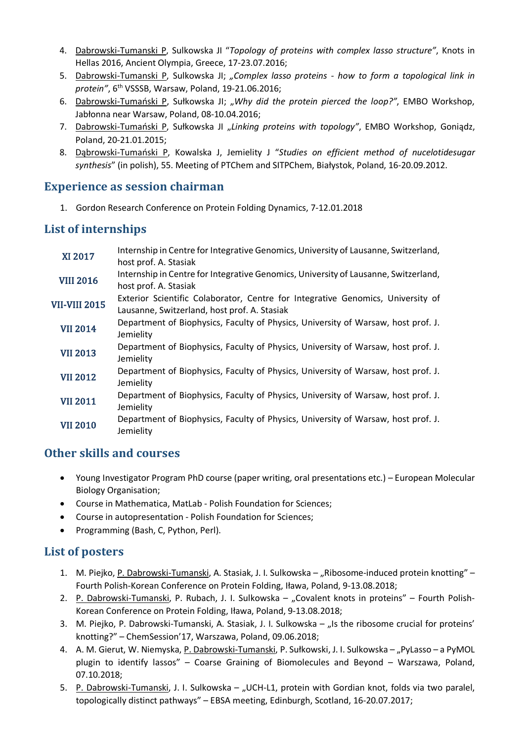- 4. Dabrowski-Tumanski P, Sulkowska JI "*Topology of proteins with complex lasso structure"*, Knots in Hellas 2016, Ancient Olympia, Greece, 17-23.07.2016;
- 5. Dabrowski-Tumanski P, Sulkowska JI; *"Complex lasso proteins - how to form a topological link in protein"*, 6th VSSSB, Warsaw, Poland, 19-21.06.2016;
- 6. Dabrowski-Tumański P, Sułkowska JI; "Why did the protein pierced the loop?", EMBO Workshop, Jabłonna near Warsaw, Poland, 08-10.04.2016;
- 7. Dabrowski-Tumański P, Sułkowska JI "Linking proteins with topology", EMBO Workshop, Goniądz, Poland, 20-21.01.2015;
- 8. Dąbrowski-Tumański P, Kowalska J, Jemielity J "*Studies on efficient method of nucelotidesugar synthesis*" (in polish), 55. Meeting of PTChem and SITPChem, Białystok, Poland, 16-20.09.2012.

#### **Experience as session chairman**

1. Gordon Research Conference on Protein Folding Dynamics, 7-12.01.2018

### List of internships

| <b>XI 2017</b>       | Internship in Centre for Integrative Genomics, University of Lausanne, Switzerland,<br>host prof. A. Stasiak                    |
|----------------------|---------------------------------------------------------------------------------------------------------------------------------|
| <b>VIII 2016</b>     | Internship in Centre for Integrative Genomics, University of Lausanne, Switzerland,<br>host prof. A. Stasiak                    |
| <b>VII-VIII 2015</b> | Exterior Scientific Colaborator, Centre for Integrative Genomics, University of<br>Lausanne, Switzerland, host prof. A. Stasiak |
| <b>VII 2014</b>      | Department of Biophysics, Faculty of Physics, University of Warsaw, host prof. J.<br>Jemielity                                  |
| <b>VII 2013</b>      | Department of Biophysics, Faculty of Physics, University of Warsaw, host prof. J.<br>Jemielity                                  |
| <b>VII 2012</b>      | Department of Biophysics, Faculty of Physics, University of Warsaw, host prof. J.<br>Jemielity                                  |
| <b>VII 2011</b>      | Department of Biophysics, Faculty of Physics, University of Warsaw, host prof. J.<br>Jemielity                                  |
| <b>VII 2010</b>      | Department of Biophysics, Faculty of Physics, University of Warsaw, host prof. J.<br>Jemielity                                  |

#### **Other skills and courses**

- Young Investigator Program PhD course (paper writing, oral presentations etc.) European Molecular Biology Organisation;
- Course in Mathematica, MatLab Polish Foundation for Sciences;
- Course in autopresentation Polish Foundation for Sciences;
- Programming (Bash, C, Python, Perl).

#### List of posters

- 1. M. Piejko, P. Dabrowski-Tumanski, A. Stasiak, J. I. Sulkowska "Ribosome-induced protein knotting" Fourth Polish-Korean Conference on Protein Folding, Iława, Poland, 9-13.08.2018;
- 2. P. Dabrowski-Tumanski, P. Rubach, J. I. Sulkowska "Covalent knots in proteins" Fourth Polish-Korean Conference on Protein Folding, Iława, Poland, 9-13.08.2018;
- 3. M. Piejko, P. Dabrowski-Tumanski, A. Stasiak, J. I. Sulkowska "Is the ribosome crucial for proteins' knotting?" – ChemSession'17, Warszawa, Poland, 09.06.2018;
- 4. A. M. Gierut, W. Niemyska, P. Dabrowski-Tumanski, P. Sułkowski, J. I. Sulkowska "PyLasso a PyMOL plugin to identify lassos" – Coarse Graining of Biomolecules and Beyond – Warszawa, Poland, 07.10.2018;
- 5. P. Dabrowski-Tumanski, J. I. Sulkowska "UCH-L1, protein with Gordian knot, folds via two paralel, topologically distinct pathways" – EBSA meeting, Edinburgh, Scotland, 16-20.07.2017;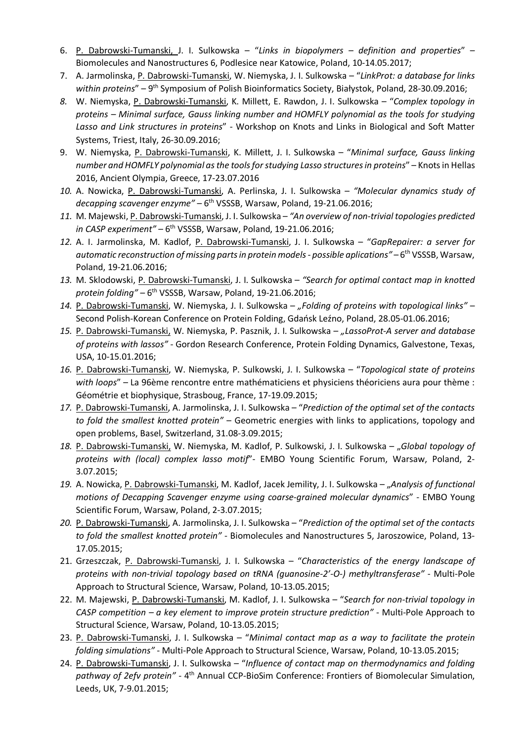- 6. P. Dabrowski-Tumanski, J. I. Sulkowska "*Links in biopolymers – definition and properties*" Biomolecules and Nanostructures 6, Podlesice near Katowice, Poland, 10-14.05.2017;
- 7. A. Jarmolinska, P. Dabrowski-Tumanski, W. Niemyska, J. I. Sulkowska "*LinkProt: a database for links within proteins*" – 9th Symposium of Polish Bioinformatics Society, Białystok, Poland, 28-30.09.2016;
- *8.* W. Niemyska, P. Dabrowski-Tumanski, K. Millett, E. Rawdon, J. I. Sulkowska "*Complex topology in proteins – Minimal surface, Gauss linking number and HOMFLY polynomial as the tools for studying Lasso and Link structures in proteins*" - Workshop on Knots and Links in Biological and Soft Matter Systems, Triest, Italy, 26-30.09.2016;
- 9. W. Niemyska, P. Dabrowski-Tumanski, K. Millett, J. I. Sulkowska "*Minimal surface, Gauss linking number and HOMFLY polynomial as the tools for studying Lasso structures in proteins*" – Knots in Hellas 2016, Ancient Olympia, Greece, 17-23.07.2016
- *10.* A. Nowicka, P. Dabrowski-Tumanski, A. Perlinska, J. I. Sulkowska *"Molecular dynamics study of decapping scavenger enzyme"* – 6<sup>th</sup> VSSSB, Warsaw, Poland, 19-21.06.2016;
- *11.* M. Majewski, P. Dabrowski-Tumanski, J. I. Sulkowska *"An overview of non-trivial topologies predicted in CASP experiment"* – 6<sup>th</sup> VSSSB, Warsaw, Poland, 19-21.06.2016;
- *12.* A. I. Jarmolinska, M. Kadlof, P. Dabrowski-Tumanski, J. I. Sulkowska "*GapRepairer: a server for automatic reconstruction of missing parts in protein models - possible aplications"* – 6th VSSSB, Warsaw, Poland, 19-21.06.2016;
- *13.* M. Sklodowski, P. Dabrowski-Tumanski, J. I. Sulkowska *"Search for optimal contact map in knotted protein folding"* – 6<sup>th</sup> VSSSB, Warsaw, Poland, 19-21.06.2016;
- *14.* P. Dabrowski-Tumanski, W. Niemyska, J. I. Sulkowska *"Folding of proteins with topological links"* Second Polish-Korean Conference on Protein Folding, Gdańsk Leźno, Poland, 28.05-01.06.2016;
- *15.* P. Dabrowski-Tumanski, W. Niemyska, P. Pasznik, J. I. Sulkowska *"LassoProt-A server and database of proteins with lassos"* - Gordon Research Conference, Protein Folding Dynamics, Galvestone, Texas, USA, 10-15.01.2016;
- *16.* P. Dabrowski-Tumanski, W. Niemyska, P. Sulkowski, J. I. Sulkowska "*Topological state of proteins with loops*" – La 96ème rencontre entre mathématiciens et physiciens théoriciens aura pour thème : Géométrie et biophysique, Strasboug, France, 17-19.09.2015;
- *17.* P. Dabrowski-Tumanski, A. Jarmolinska, J. I. Sulkowska "*Prediction of the optimal set of the contacts to fold the smallest knotted protein"* – Geometric energies with links to applications, topology and open problems, Basel, Switzerland, 31.08-3.09.2015;
- *18.* P. Dabrowski-Tumanski, W. Niemyska, M. Kadlof, P. Sulkowski, J. I. Sulkowska "*Global topology of proteins with (local) complex lasso motif*"- EMBO Young Scientific Forum, Warsaw, Poland, 2- 3.07.2015;
- *19.* A. Nowicka, P. Dabrowski-Tumanski, M. Kadlof, Jacek Jemility, J. I. Sulkowska "*Analysis of functional motions of Decapping Scavenger enzyme using coarse-grained molecular dynamics*" - EMBO Young Scientific Forum, Warsaw, Poland, 2-3.07.2015;
- *20.* P. Dabrowski-Tumanski, A. Jarmolinska, J. I. Sulkowska "*Prediction of the optimal set of the contacts to fold the smallest knotted protein"* - Biomolecules and Nanostructures 5, Jaroszowice, Poland, 13- 17.05.2015;
- 21. Grzeszczak, P. Dabrowski-Tumanski, J. I. Sulkowska "*Characteristics of the energy landscape of proteins with non-trivial topology based on tRNA (guanosine-2'-O-) methyltransferase"* - Multi-Pole Approach to Structural Science, Warsaw, Poland, 10-13.05.2015;
- 22. M. Majewski, P. Dabrowski-Tumanski, M. Kadlof, J. I. Sulkowska "*Search for non-trivial topology in CASP competition – a key element to improve protein structure prediction"* - Multi-Pole Approach to Structural Science, Warsaw, Poland, 10-13.05.2015;
- 23. P. Dabrowski-Tumanski, J. I. Sulkowska "*Minimal contact map as a way to facilitate the protein folding simulations"* - Multi-Pole Approach to Structural Science, Warsaw, Poland, 10-13.05.2015;
- 24. P. Dabrowski-Tumanski, J. I. Sulkowska "*Influence of contact map on thermodynamics and folding pathway of 2efv protein"* - 4th Annual CCP-BioSim Conference: Frontiers of Biomolecular Simulation, Leeds, UK, 7-9.01.2015;